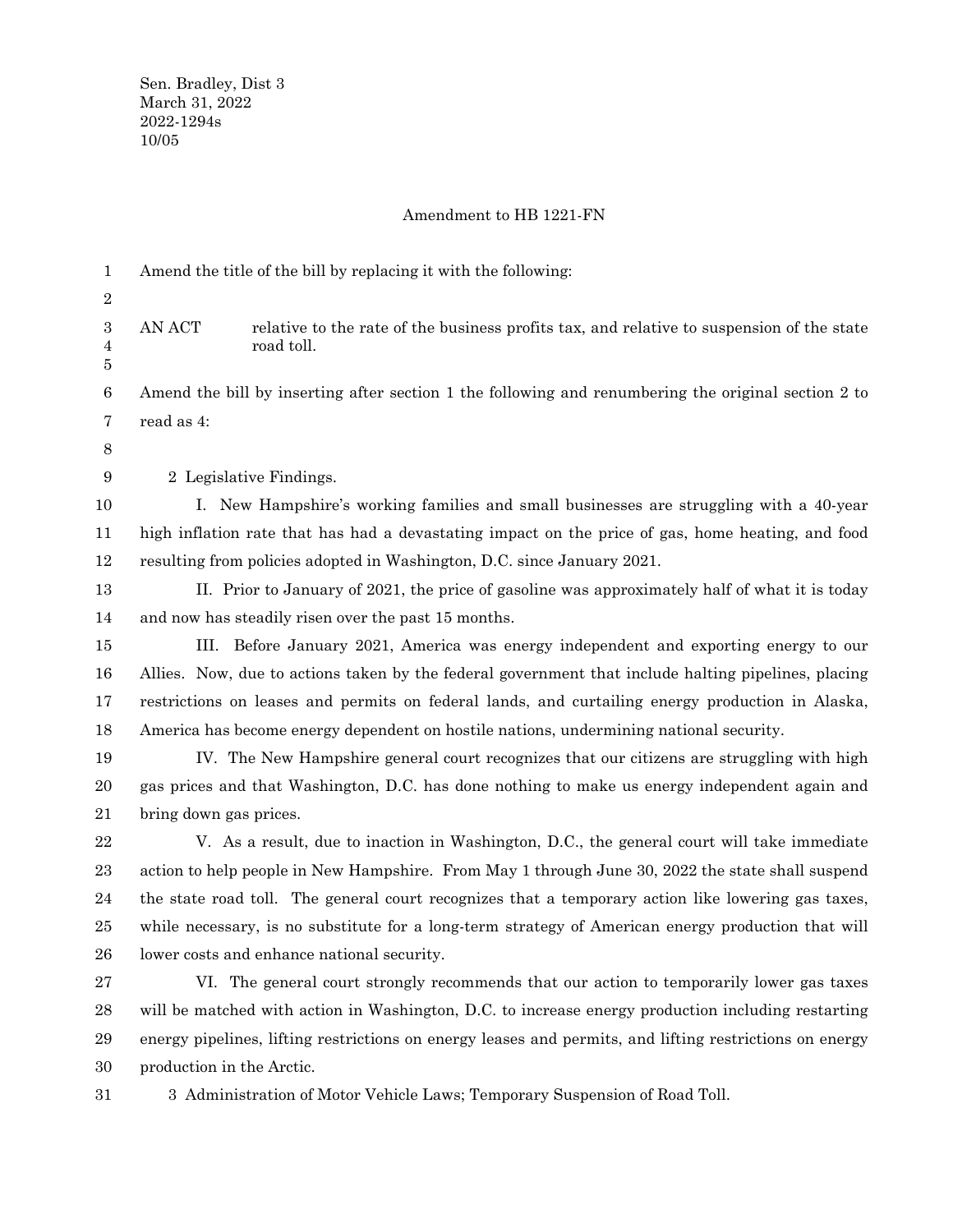## Amendment to HB 1221-FN

| 1                | Amend the title of the bill by replacing it with the following:                                         |                                                                                                         |
|------------------|---------------------------------------------------------------------------------------------------------|---------------------------------------------------------------------------------------------------------|
| 2                |                                                                                                         |                                                                                                         |
| 3<br>4<br>5      | AN ACT                                                                                                  | relative to the rate of the business profits tax, and relative to suspension of the state<br>road toll. |
| $\boldsymbol{6}$ |                                                                                                         | Amend the bill by inserting after section 1 the following and renumbering the original section 2 to     |
| 7                | read as 4:                                                                                              |                                                                                                         |
| 8                |                                                                                                         |                                                                                                         |
| 9                | 2 Legislative Findings.                                                                                 |                                                                                                         |
| 10               |                                                                                                         | I. New Hampshire's working families and small businesses are struggling with a 40-year                  |
| 11               |                                                                                                         | high inflation rate that has had a devastating impact on the price of gas, home heating, and food       |
| 12               |                                                                                                         | resulting from policies adopted in Washington, D.C. since January 2021.                                 |
| 13               |                                                                                                         | II. Prior to January of 2021, the price of gasoline was approximately half of what it is today          |
| 14               |                                                                                                         | and now has steadily risen over the past 15 months.                                                     |
| 15               | III.                                                                                                    | Before January 2021, America was energy independent and exporting energy to our                         |
| 16               |                                                                                                         | Allies. Now, due to actions taken by the federal government that include halting pipelines, placing     |
| 17               |                                                                                                         | restrictions on leases and permits on federal lands, and curtailing energy production in Alaska,        |
| 18               |                                                                                                         | America has become energy dependent on hostile nations, undermining national security.                  |
| 19               |                                                                                                         | IV. The New Hampshire general court recognizes that our citizens are struggling with high               |
| 20               |                                                                                                         | gas prices and that Washington, D.C. has done nothing to make us energy independent again and           |
| 21               | bring down gas prices.                                                                                  |                                                                                                         |
| 22               |                                                                                                         | V. As a result, due to inaction in Washington, D.C., the general court will take immediate              |
| 23               |                                                                                                         | action to help people in New Hampshire. From May 1 through June 30, 2022 the state shall suspend        |
| 24               |                                                                                                         | the state road toll. The general court recognizes that a temporary action like lowering gas taxes,      |
| 25               |                                                                                                         | while necessary, is no substitute for a long-term strategy of American energy production that will      |
| ${\bf 26}$       |                                                                                                         | lower costs and enhance national security.                                                              |
| $\sqrt{27}$      |                                                                                                         | VI. The general court strongly recommends that our action to temporarily lower gas taxes                |
| 28               |                                                                                                         | will be matched with action in Washington, D.C. to increase energy production including restarting      |
| 29               | energy pipelines, lifting restrictions on energy leases and permits, and lifting restrictions on energy |                                                                                                         |
| 30               | production in the Arctic.                                                                               |                                                                                                         |
| 31               |                                                                                                         | 3 Administration of Motor Vehicle Laws; Temporary Suspension of Road Toll.                              |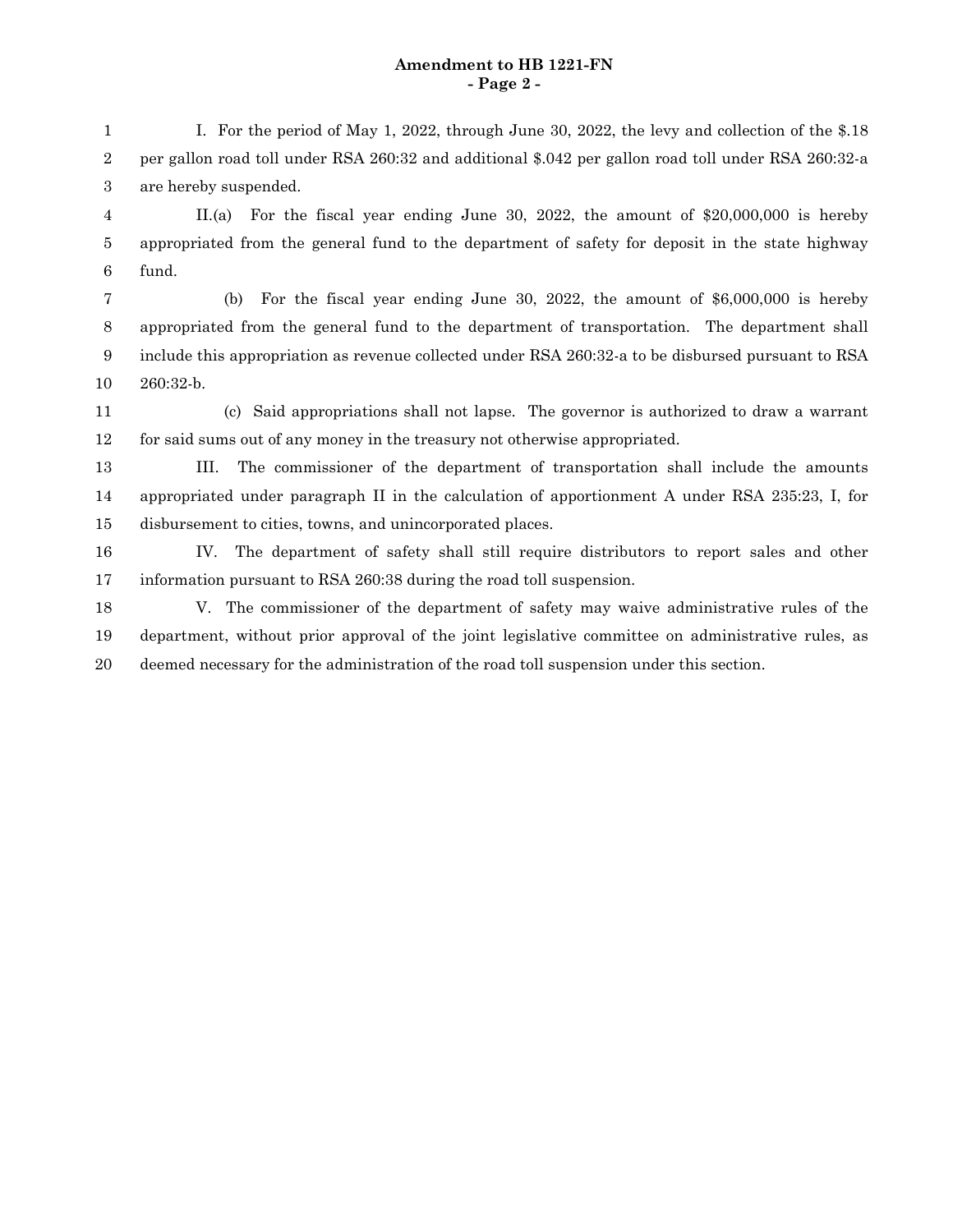## **Amendment to HB 1221-FN - Page 2 -**

I. For the period of May 1, 2022, through June 30, 2022, the levy and collection of the \$.18 per gallon road toll under RSA 260:32 and additional \$.042 per gallon road toll under RSA 260:32-a are hereby suspended. 1 2 3

II.(a) For the fiscal year ending June 30, 2022, the amount of \$20,000,000 is hereby appropriated from the general fund to the department of safety for deposit in the state highway fund. 4 5 6

(b) For the fiscal year ending June 30, 2022, the amount of \$6,000,000 is hereby appropriated from the general fund to the department of transportation. The department shall include this appropriation as revenue collected under RSA 260:32-a to be disbursed pursuant to RSA 260:32-b. 7 8 9 10

(c) Said appropriations shall not lapse. The governor is authorized to draw a warrant for said sums out of any money in the treasury not otherwise appropriated. 11 12

III. The commissioner of the department of transportation shall include the amounts appropriated under paragraph II in the calculation of apportionment A under RSA 235:23, I, for disbursement to cities, towns, and unincorporated places. 13 14 15

IV. The department of safety shall still require distributors to report sales and other information pursuant to RSA 260:38 during the road toll suspension. 16 17

V. The commissioner of the department of safety may waive administrative rules of the department, without prior approval of the joint legislative committee on administrative rules, as deemed necessary for the administration of the road toll suspension under this section. 18 19 20